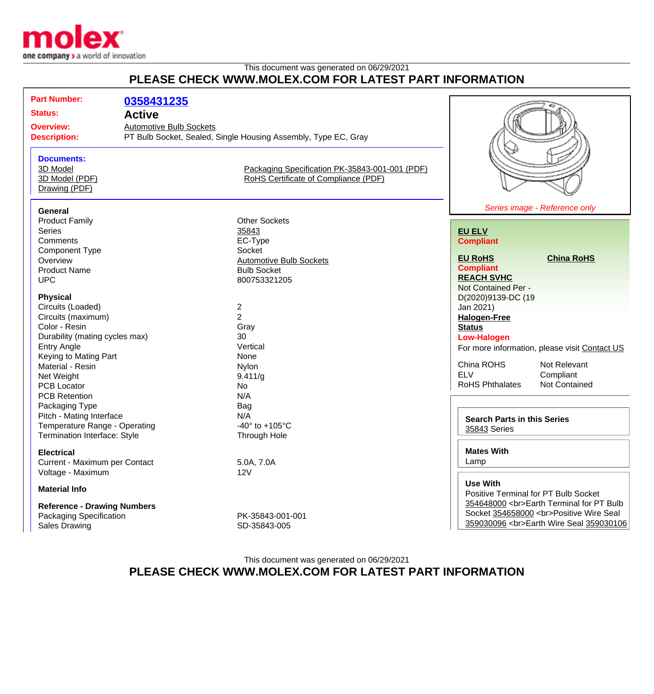

## This document was generated on 06/29/2021 **PLEASE CHECK WWW.MOLEX.COM FOR LATEST PART INFORMATION**

| <b>Part Number:</b><br><b>Status:</b><br><b>Overview:</b><br><b>Description:</b> |                                                                                                               | 0358431235<br><b>Active</b><br><b>Automotive Bulb Sockets</b> | PT Bulb Socket, Sealed, Single Housing Assembly, Type EC, Gray                         |                                                                                |                                                                                                                                                                         |
|----------------------------------------------------------------------------------|---------------------------------------------------------------------------------------------------------------|---------------------------------------------------------------|----------------------------------------------------------------------------------------|--------------------------------------------------------------------------------|-------------------------------------------------------------------------------------------------------------------------------------------------------------------------|
|                                                                                  | <b>Documents:</b><br>3D Model<br>3D Model (PDF)<br>Drawing (PDF)                                              |                                                               | Packaging Specification PK-35843-001-001 (PDF)<br>RoHS Certificate of Compliance (PDF) |                                                                                |                                                                                                                                                                         |
|                                                                                  | <b>General</b>                                                                                                |                                                               |                                                                                        |                                                                                | Series image - Reference only                                                                                                                                           |
|                                                                                  | <b>Product Family</b><br><b>Series</b><br>Comments                                                            |                                                               | <b>Other Sockets</b><br>35843<br>EC-Type                                               | <b>EU ELV</b><br><b>Compliant</b>                                              |                                                                                                                                                                         |
|                                                                                  | <b>Component Type</b><br>Overview<br><b>Product Name</b><br><b>UPC</b>                                        |                                                               | Socket<br><b>Automotive Bulb Sockets</b><br><b>Bulb Socket</b><br>800753321205         | <b>EU RoHS</b><br><b>Compliant</b><br><b>REACH SVHC</b><br>Not Contained Per - | <b>China RoHS</b>                                                                                                                                                       |
|                                                                                  | <b>Physical</b><br>Circuits (Loaded)<br>Circuits (maximum)                                                    |                                                               | $\overline{\mathbf{c}}$<br>$\overline{2}$                                              | D(2020)9139-DC (19<br>Jan 2021)<br><b>Halogen-Free</b>                         |                                                                                                                                                                         |
|                                                                                  | Color - Resin<br>Durability (mating cycles max)<br><b>Entry Angle</b>                                         |                                                               | Gray<br>30<br>Vertical                                                                 | <b>Status</b><br><b>Low-Halogen</b>                                            | For more information, please visit Contact US                                                                                                                           |
|                                                                                  | Keying to Mating Part<br>Material - Resin<br>Net Weight<br><b>PCB Locator</b><br><b>PCB Retention</b>         |                                                               | None<br>Nylon<br>9.411/g<br>No<br>N/A                                                  | China ROHS<br><b>ELV</b><br><b>RoHS Phthalates</b>                             | Not Relevant<br>Compliant<br>Not Contained                                                                                                                              |
|                                                                                  | Packaging Type<br>Pitch - Mating Interface<br>Temperature Range - Operating<br>Termination Interface: Style   |                                                               | <b>Bag</b><br>N/A<br>-40 $\degree$ to +105 $\degree$ C<br>Through Hole                 | <b>Search Parts in this Series</b><br>35843 Series                             |                                                                                                                                                                         |
|                                                                                  | <b>Electrical</b><br>Current - Maximum per Contact<br>Voltage - Maximum                                       |                                                               | 5.0A, 7.0A<br>12V                                                                      | <b>Mates With</b><br>Lamp                                                      |                                                                                                                                                                         |
|                                                                                  | <b>Material Info</b><br><b>Reference - Drawing Numbers</b><br>Packaging Specification<br><b>Sales Drawing</b> |                                                               | PK-35843-001-001<br>SD-35843-005                                                       | <b>Use With</b>                                                                | Positive Terminal for PT Bulb Socket<br>354648000<br>Earth Terminal for PT Bulb<br>Socket 354658000<br>>br>Positive Wire Seal<br>359030096<br>Earth Wire Seal 359030106 |

This document was generated on 06/29/2021 **PLEASE CHECK WWW.MOLEX.COM FOR LATEST PART INFORMATION**